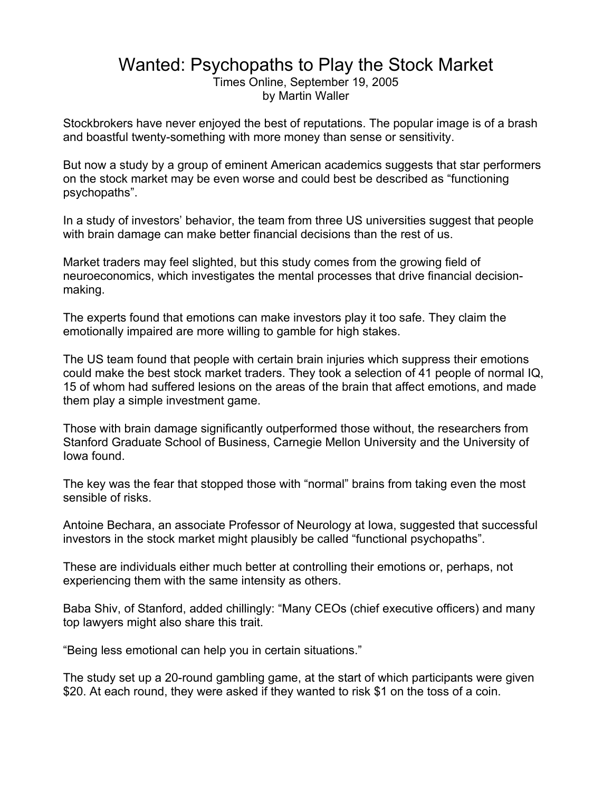## Wanted: Psychopaths to Play the Stock Market

Times Online, September 19, 2005 by Martin Waller

Stockbrokers have never enjoyed the best of reputations. The popular image is of a brash and boastful twenty-something with more money than sense or sensitivity.

But now a study by a group of eminent American academics suggests that star performers on the stock market may be even worse and could best be described as "functioning psychopaths".

In a study of investors' behavior, the team from three US universities suggest that people with brain damage can make better financial decisions than the rest of us.

Market traders may feel slighted, but this study comes from the growing field of neuroeconomics, which investigates the mental processes that drive financial decisionmaking.

The experts found that emotions can make investors play it too safe. They claim the emotionally impaired are more willing to gamble for high stakes.

The US team found that people with certain brain injuries which suppress their emotions could make the best stock market traders. They took a selection of 41 people of normal IQ, 15 of whom had suffered lesions on the areas of the brain that affect emotions, and made them play a simple investment game.

Those with brain damage significantly outperformed those without, the researchers from Stanford Graduate School of Business, Carnegie Mellon University and the University of Iowa found.

The key was the fear that stopped those with "normal" brains from taking even the most sensible of risks.

Antoine Bechara, an associate Professor of Neurology at Iowa, suggested that successful investors in the stock market might plausibly be called "functional psychopaths".

These are individuals either much better at controlling their emotions or, perhaps, not experiencing them with the same intensity as others.

Baba Shiv, of Stanford, added chillingly: "Many CEOs (chief executive officers) and many top lawyers might also share this trait.

"Being less emotional can help you in certain situations."

The study set up a 20-round gambling game, at the start of which participants were given \$20. At each round, they were asked if they wanted to risk \$1 on the toss of a coin.